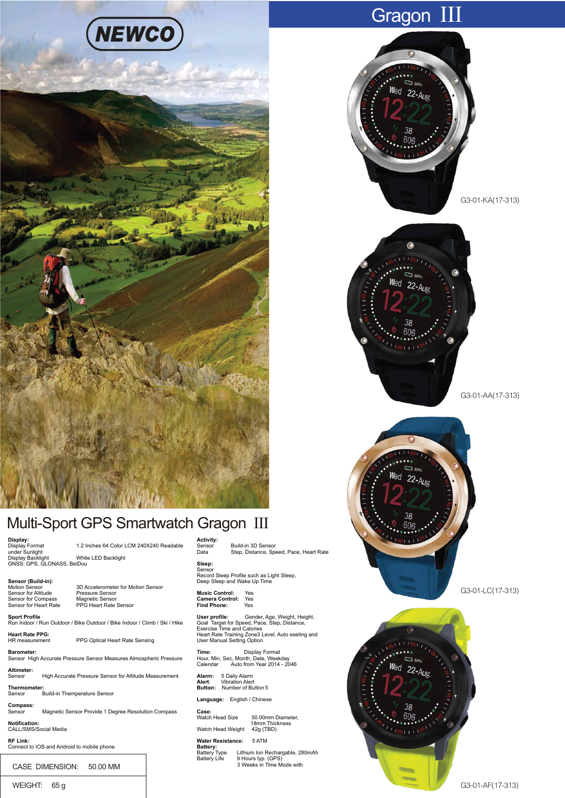

# Gragon III









## Multi-Sport GPS Smartwatch Gragon III

**Display:** under Sunlight Display Backlight White LED Backlight GNSS: GPS, GLONASS, BeiDou

1.2 Inches 64 Color LCM 240X240 Readable **Activity:**<br>Sensor<br>Data Sensor Build-in 3D Sensor Data Step, Distance, Speed, Pace, Heart Rate

**Sensor (Build-in):** Sensor for Altitude Pressure Sensor Sensor for Compass Magnetic Sensor

3D Accelerometer for Motion Sensor SE Accelerometer for MC<br>Pressure Sensor<br>Magnetic Sensor<br>PPG Heart Rate Sensor

**Sport Profile**<br>Run Indoor / Run Outdoor / Bike Outdoor / Bike Indoor / Climb / Ski / Hike

PPG Optical Heart Rate Sensing

**Barometer:**

**Compass:** Magnetic Sensor Provide 1 Degree Resolution Compass

**Notification:** CALL/SMS/Social Media

CASE DIMENSION: 50.00 MM

WEIGHT: 65 g

**Sleep:** Sensor

**Music Control:** Yes **Camera Control:** Yes **Find Phone:** Yes

**Alarm:** 5 Daily Alarm **Alert**: Vibration Alert **Button:** Number of Button 5 **Language:** English / Chinese

**Case:**

**Heart Rate PPG:**

Sensor High Accurate Pressure Sensor Measures Atmospheric Pressure

**Altimeter:** High Accurate Pressure Sensor for Altitude Measurement

**Thermometer:** ..<br>Build-in Themperature Sensor

**RF Link:** Connect to IOS and Android to mobile phone

**Water Resistance:** 5 ATM **Battery:**<br>Battery:<br>Battery Type Battery.<br>Battery Type Lithium Ion Rechargable, 280mAh<br>Battery Life 9 Hours typ. (GPS) Battery Life 9 Hours typ. (GPS) 3 Weeks in Time Mode with

Watch Head Size 50.00mm Diameter, 18mm Thickness Watch Head Weight 42g (TBD)

Record Sleep Profile such as Light Sleep, Deep Sleep and Wake Up Time

**Time:** Display Format<br>Hour, Min, Sec, Month, Date, Weekday<br>Calendar Auto from Year 2014 - 2046

**User profile:**<br>Goal Target for Speed, Pace, Step, Distance,<br>Exercise Time and Calories<br>Heart Rate Training Zone3 Level, Auto seeting and<br>User Manual Setting Option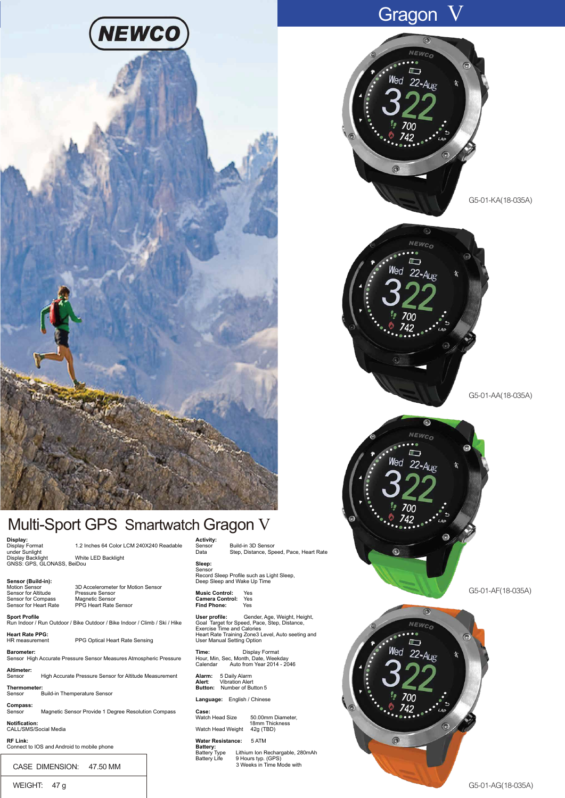

### Multi-Sport GPS Smartwatch Gragon V

#### **Display:** under Sunlight Display Backlight White LED Backlight GNSS: GPS, GLONASS, BeiDou

1.2 Inches 64 Color LCM 240X240 Readable

**Sensor (Build-in):** Sensor for Altitude Sensor for Compass<br>Sensor for Heart Rate

3D Accelerometer for Motion Sensor SD Accelerometer for Me<br>Pressure Sensor<br>Magnetic Sensor<br>PPG Heart Rate Sensor

**Sport Profile**<br>Run Indoor / Run Outdoor / Bike Outdoor / Bike Indoor / Climb / Ski / Hike

PPG Optical Heart Rate Sensing

**Heart Rate PPG: Barometer:**

Sensor High Accurate Pressure Sensor Measures Atmospheric Pressure

**Altimeter:** High Accurate Pressure Sensor for Altitude Measurement

**Thermometer:** ...<br>Build-in Themperature Sensor

**Compass:** Magnetic Sensor Provide 1 Degree Resolution Compass

**Notification:** CALL/SMS/Social Media

**RF Link:** Connect to IOS and Android to mobile phone

CASE DIMENSION: 47.50 MM

WEIGHT: 47 g

**Activity:**<br>Sensor<br>Data Sensor Build-in 3D Sensor Data Step, Distance, Speed, Pace, Heart Rate

**Sleep:** Sensor Record Sleep Profile such as Light Sleep, Deep Sleep and Wake Up Time

**Music Control:** Yes **Camera Control:** Yes **Find Phone:** Yes

**User profile:**<br>Goal Target for Speed, Pace, Step, Distance,<br>Exercise Time and Calories<br>Heart Rate Training Zone3 Level, Auto seeting and<br>User Manual Setting Option

**Time:** Display Format Hour, Min, Sec, Month, Date, Weekday Calendar Auto from Year 2014 - 2046

**Alarm:** 5 Daily Alarm **Alert**: Vibration Alert **Button:** Number of Button 5

**Language:** English / Chinese

**Case:**

Watch Head Size 50.00mm Diameter, 18mm Thickness Watch Head Weight 42g (TBD)

**Water Resistance:** 5 ATM **Battery:**<br>Battery:<br>Battery Type

Battery.<br>Battery Type Lithium Ion Rechargable, 280mAh<br>Battery Life 9 Hours typ. (GPS) Battery Life 9 Hours typ. (GPS) 3 Weeks in Time Mode with

# Gragon V





G5-01-AA(18-035A)



G5-01-AF(18-035A)